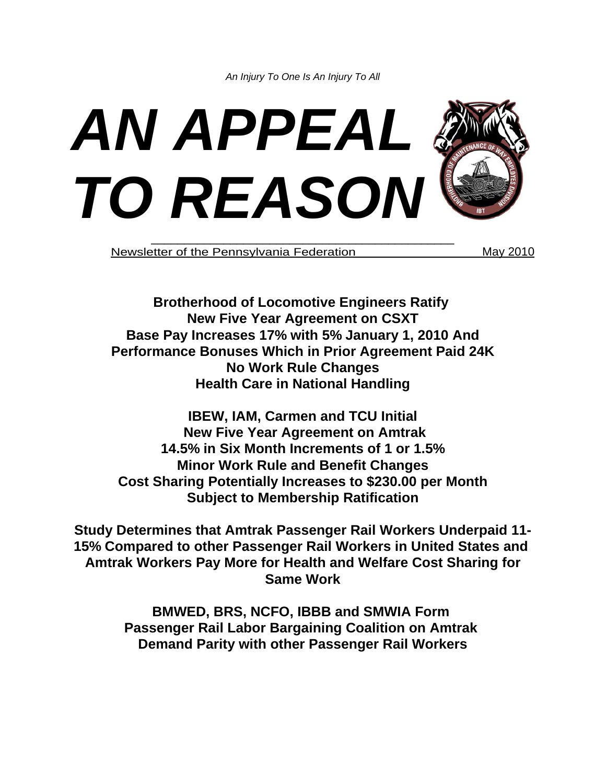*An Injury To One Is An Injury To All*



Newsletter of the Pennsylvania Federation May 2010

**Brotherhood of Locomotive Engineers Ratify New Five Year Agreement on CSXT Base Pay Increases 17% with 5% January 1, 2010 And Performance Bonuses Which in Prior Agreement Paid 24K No Work Rule Changes Health Care in National Handling**

**IBEW, IAM, Carmen and TCU Initial New Five Year Agreement on Amtrak 14.5% in Six Month Increments of 1 or 1.5% Minor Work Rule and Benefit Changes Cost Sharing Potentially Increases to \$230.00 per Month Subject to Membership Ratification**

**Study Determines that Amtrak Passenger Rail Workers Underpaid 11- 15% Compared to other Passenger Rail Workers in United States and Amtrak Workers Pay More for Health and Welfare Cost Sharing for Same Work**

> **BMWED, BRS, NCFO, IBBB and SMWIA Form Passenger Rail Labor Bargaining Coalition on Amtrak Demand Parity with other Passenger Rail Workers**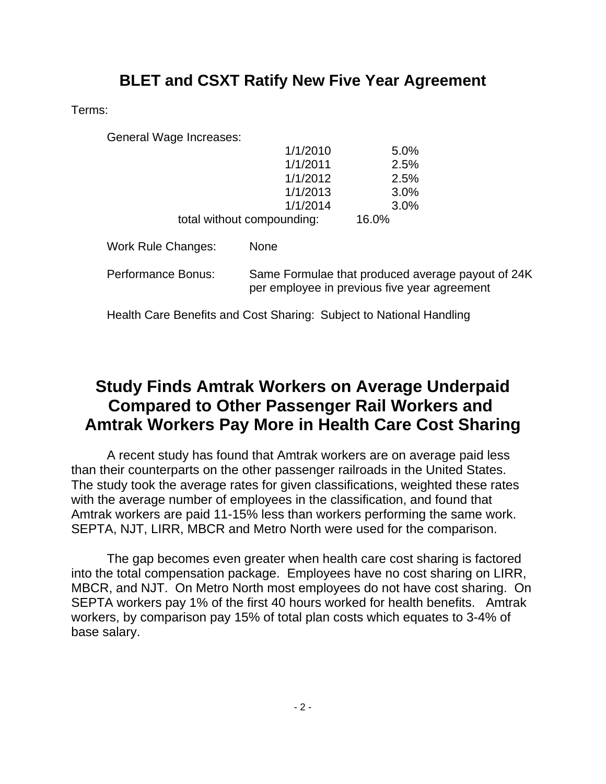## **BLET and CSXT Ratify New Five Year Agreement**

Terms:

General Wage Increases:

| 1/1/2010                   | 5.0%  |
|----------------------------|-------|
| 1/1/2011                   | 2.5%  |
| 1/1/2012                   | 2.5%  |
| 1/1/2013                   | 3.0%  |
| 1/1/2014                   | 3.0%  |
| total without compounding: | 16.0% |

| Work Rule Changes: | <b>None</b>                                                                                       |
|--------------------|---------------------------------------------------------------------------------------------------|
| Performance Bonus: | Same Formulae that produced average payout of 24K<br>per employee in previous five year agreement |

Health Care Benefits and Cost Sharing: Subject to National Handling

## **Study Finds Amtrak Workers on Average Underpaid Compared to Other Passenger Rail Workers and Amtrak Workers Pay More in Health Care Cost Sharing**

A recent study has found that Amtrak workers are on average paid less than their counterparts on the other passenger railroads in the United States. The study took the average rates for given classifications, weighted these rates with the average number of employees in the classification, and found that Amtrak workers are paid 11-15% less than workers performing the same work. SEPTA, NJT, LIRR, MBCR and Metro North were used for the comparison.

The gap becomes even greater when health care cost sharing is factored into the total compensation package. Employees have no cost sharing on LIRR, MBCR, and NJT. On Metro North most employees do not have cost sharing. On SEPTA workers pay 1% of the first 40 hours worked for health benefits. Amtrak workers, by comparison pay 15% of total plan costs which equates to 3-4% of base salary.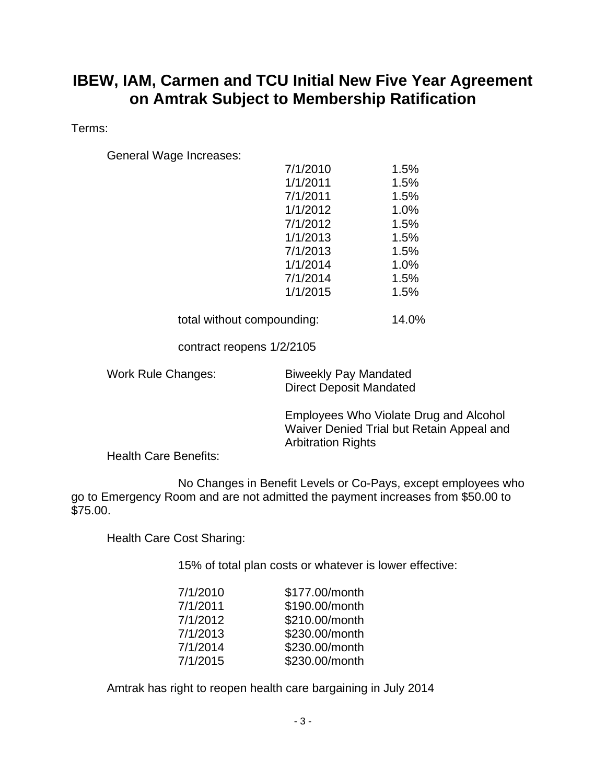## **IBEW, IAM, Carmen and TCU Initial New Five Year Agreement on Amtrak Subject to Membership Ratification**

Terms:

General Wage Increases:

| 7/1/2010 | 1.5% |
|----------|------|
| 1/1/2011 | 1.5% |
| 7/1/2011 | 1.5% |
| 1/1/2012 | 1.0% |
| 7/1/2012 | 1.5% |
| 1/1/2013 | 1.5% |
| 7/1/2013 | 1.5% |
| 1/1/2014 | 1.0% |
| 7/1/2014 | 1.5% |
| 1/1/2015 | 1.5% |
|          |      |

total without compounding: 14.0%

contract reopens 1/2/2105

Work Rule Changes: Biweekly Pay Mandated Direct Deposit Mandated

> Employees Who Violate Drug and Alcohol Waiver Denied Trial but Retain Appeal and Arbitration Rights

Health Care Benefits:

No Changes in Benefit Levels or Co-Pays, except employees who go to Emergency Room and are not admitted the payment increases from \$50.00 to \$75.00.

Health Care Cost Sharing:

15% of total plan costs or whatever is lower effective:

| 7/1/2010 | \$177.00/month |
|----------|----------------|
| 7/1/2011 | \$190.00/month |
| 7/1/2012 | \$210.00/month |
| 7/1/2013 | \$230.00/month |
| 7/1/2014 | \$230.00/month |
| 7/1/2015 | \$230.00/month |

Amtrak has right to reopen health care bargaining in July 2014